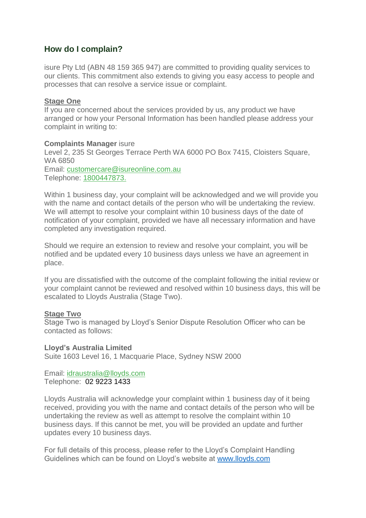# **How do I complain?**

isure Pty Ltd (ABN 48 159 365 947) are committed to providing quality services to our clients. This commitment also extends to giving you easy access to people and processes that can resolve a service issue or complaint.

# **Stage One**

If you are concerned about the services provided by us, any product we have arranged or how your Personal Information has been handled please address your complaint in writing to:

## **Complaints Manager** isure

Level 2, 235 St Georges Terrace Perth WA 6000 PO Box 7415, Cloisters Square, WA 6850

Email: [customercare@isureonline.com.au](mailto:customercare@isureonline.com.au) Telephone: [1800447873.](tel:1800447873)

Within 1 business day, your complaint will be acknowledged and we will provide you with the name and contact details of the person who will be undertaking the review. We will attempt to resolve your complaint within 10 business days of the date of notification of your complaint, provided we have all necessary information and have completed any investigation required.

Should we require an extension to review and resolve your complaint, you will be notified and be updated every 10 business days unless we have an agreement in place.

If you are dissatisfied with the outcome of the complaint following the initial review or your complaint cannot be reviewed and resolved within 10 business days, this will be escalated to Lloyds Australia (Stage Two).

## **Stage Two**

Stage Two is managed by Lloyd's Senior Dispute Resolution Officer who can be contacted as follows:

## **Lloyd's Australia Limited**

Suite 1603 Level 16, 1 Macquarie Place, Sydney NSW 2000

#### Email: [idraustralia@lloyds.com](mailto:idraustralia@lloyds.com) Telephone: 02 9223 1433

Lloyds Australia will acknowledge your complaint within 1 business day of it being received, providing you with the name and contact details of the person who will be undertaking the review as well as attempt to resolve the complaint within 10 business days. If this cannot be met, you will be provided an update and further updates every 10 business days.

For full details of this process, please refer to the Lloyd's Complaint Handling Guidelines which can be found on Lloyd's website at [www.lloyds.com](http://www.lloyds.com/)